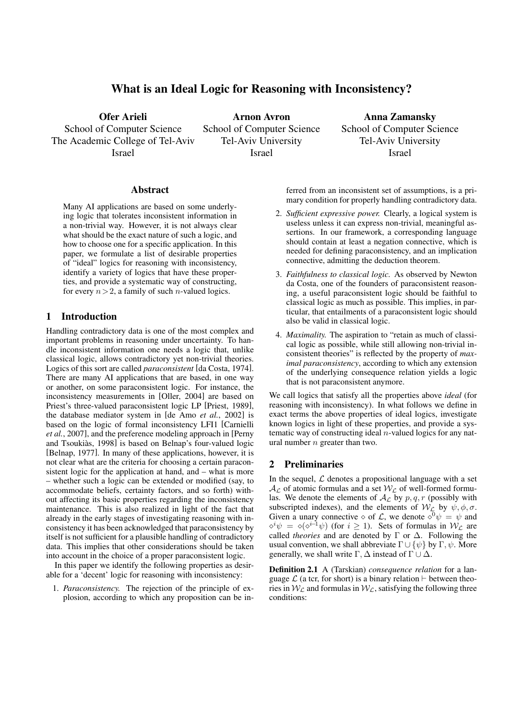# What is an Ideal Logic for Reasoning with Inconsistency?

Ofer Arieli School of Computer Science The Academic College of Tel-Aviv Israel

Arnon Avron School of Computer Science Tel-Aviv University Israel

Anna Zamansky School of Computer Science Tel-Aviv University Israel

## Abstract

Many AI applications are based on some underlying logic that tolerates inconsistent information in a non-trivial way. However, it is not always clear what should be the exact nature of such a logic, and how to choose one for a specific application. In this paper, we formulate a list of desirable properties of "ideal" logics for reasoning with inconsistency, identify a variety of logics that have these properties, and provide a systematic way of constructing, for every  $n>2$ , a family of such *n*-valued logics.

# 1 Introduction

Handling contradictory data is one of the most complex and important problems in reasoning under uncertainty. To handle inconsistent information one needs a logic that, unlike classical logic, allows contradictory yet non-trivial theories. Logics of this sort are called *paraconsistent* [da Costa, 1974]. There are many AI applications that are based, in one way or another, on some paraconsistent logic. For instance, the inconsistency measurements in [Oller, 2004] are based on Priest's three-valued paraconsistent logic LP [Priest, 1989], the database mediator system in [de Amo *et al.*, 2002] is based on the logic of formal inconsistency LFI1 [Carnielli *et al.*, 2007], and the preference modeling approach in [Perny and Tsoukiàs, 1998] is based on Belnap's four-valued logic [Belnap, 1977]. In many of these applications, however, it is not clear what are the criteria for choosing a certain paraconsistent logic for the application at hand, and – what is more – whether such a logic can be extended or modified (say, to accommodate beliefs, certainty factors, and so forth) without affecting its basic properties regarding the inconsistency maintenance. This is also realized in light of the fact that already in the early stages of investigating reasoning with inconsistency it has been acknowledged that paraconsistency by itself is not sufficient for a plausible handling of contradictory data. This implies that other considerations should be taken into account in the choice of a proper paraconsistent logic.

In this paper we identify the following properties as desirable for a 'decent' logic for reasoning with inconsistency:

1. *Paraconsistency.* The rejection of the principle of explosion, according to which any proposition can be inferred from an inconsistent set of assumptions, is a primary condition for properly handling contradictory data.

- 2. *Sufficient expressive power.* Clearly, a logical system is useless unless it can express non-trivial, meaningful assertions. In our framework, a corresponding language should contain at least a negation connective, which is needed for defining paraconsistency, and an implication connective, admitting the deduction theorem.
- 3. *Faithfulness to classical logic.* As observed by Newton da Costa, one of the founders of paraconsistent reasoning, a useful paraconsistent logic should be faithful to classical logic as much as possible. This implies, in particular, that entailments of a paraconsistent logic should also be valid in classical logic.
- 4. *Maximality.* The aspiration to "retain as much of classical logic as possible, while still allowing non-trivial inconsistent theories" is reflected by the property of *maximal paraconsistency*, according to which any extension of the underlying consequence relation yields a logic that is not paraconsistent anymore.

We call logics that satisfy all the properties above *ideal* (for reasoning with inconsistency). In what follows we define in exact terms the above properties of ideal logics, investigate known logics in light of these properties, and provide a systematic way of constructing ideal *n*-valued logics for any natural number *n* greater than two.

# 2 Preliminaries

In the sequel,  $\mathcal L$  denotes a propositional language with a set  $A_{\mathcal{L}}$  of atomic formulas and a set  $W_{\mathcal{L}}$  of well-formed formulas. We denote the elements of  $A_{\mathcal{L}}$  by  $p, q, r$  (possibly with subscripted indexes), and the elements of  $W_L$  by  $\psi$ ,  $\phi$ ,  $\sigma$ . Given a unary connective  $\diamond$  of *L*, we denote  $\diamond^0 \psi = \psi$  and  $\circ^i \psi = \circ(\circ^{i-1} \psi)$  (for  $i \geq 1$ ). Sets of formulas in  $\mathcal{W}_L$  are called *theories* and are denoted by Γ or ∆. Following the usual convention, we shall abbreviate  $\Gamma \cup \{\psi\}$  by  $\Gamma, \psi$ . More generally, we shall write  $\Gamma$ ,  $\Delta$  instead of  $\Gamma \cup \Delta$ .

Definition 2.1 A (Tarskian) *consequence relation* for a language  $\mathcal L$  (a tcr, for short) is a binary relation  $\vdash$  between theories in  $W_L$  and formulas in  $W_L$ , satisfying the following three conditions: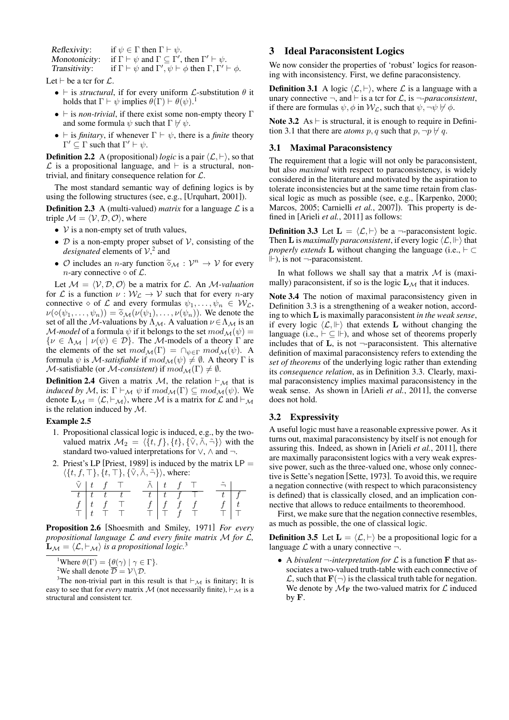Reflexivity: if  $\psi \in \Gamma$  then  $\Gamma \vdash \psi$ .

Monotonicity: if  $\Gamma \vdash \psi$  and  $\Gamma \subseteq \Gamma'$ , then  $\Gamma' \vdash \psi$ .

Transitivity: if  $\Gamma \vdash \psi$  and  $\Gamma', \psi \vdash \phi$  then  $\Gamma, \Gamma' \vdash \phi$ .

Let *⊢* be a tcr for *L*.

- *• ⊢* is *structural*, if for every uniform *L*-substitution *θ* it holds that  $\Gamma \vdash \psi$  implies  $\theta(\Gamma) \vdash \theta(\psi)$ .<sup>1</sup>
- *• ⊢* is *non-trivial*, if there exist some non-empty theory Γ and some formula  $\psi$  such that  $\Gamma \not\vdash \psi$ .
- *⊢* is *finitary*, if whenever  $\Gamma \vdash \psi$ , there is a *finite* theory  $\Gamma' \subseteq \Gamma$  such that  $\Gamma' \vdash \psi$ .

**Definition 2.2** A (propositional) *logic* is a pair  $\langle \mathcal{L}, \vdash \rangle$ , so that *L* is a propositional language, and *⊢* is a structural, nontrivial, and finitary consequence relation for *L*.

The most standard semantic way of defining logics is by using the following structures (see, e.g., [Urquhart, 2001]).

**Definition 2.3** A (multi-valued) *matrix* for a language  $\mathcal{L}$  is a triple  $\mathcal{M} = \langle \mathcal{V}, \mathcal{D}, \mathcal{O} \rangle$ , where

- *• V* is a non-empty set of truth values,
- *• D* is a non-empty proper subset of *V*, consisting of the *designated* elements of  $V<sup>2</sup>$  and
- $\mathcal{O}$  includes an *n*-ary function  $\widetilde{\diamond}_{\mathcal{M}} : \mathcal{V}^n \to \mathcal{V}$  for every *n*-ary connective  $\diamond$  of  $\mathcal{L}$ .

Let  $M = \langle V, D, O \rangle$  be a matrix for L. An *M*-valuation for *L* is a function  $\nu : W_L \to V$  such that for every *n*-ary connective  $\diamond$  of  $\mathcal L$  and every formulas  $\psi_1, \dots, \psi_n \in \mathcal W_{\mathcal L}$ ,  $\nu(\diamond(\psi_1,\ldots,\psi_n)) = \tilde{\diamond}_{\mathcal{M}}(\nu(\psi_1),\ldots,\nu(\psi_n)).$  We denote the set of all the *M*-valuations by  $\Lambda_M$ . A valuation  $\nu \in \Lambda_M$  is an *M-model* of a formula  $\psi$  if it belongs to the set  $mod_{\mathcal{M}}(\psi)$  =  $\{ \nu \in \Lambda_M \mid \nu(\psi) \in \mathcal{D} \}.$  The *M*-models of a theory Γ are the elements of the set  $mod_{\mathcal{M}}(\Gamma) = \bigcap_{\psi \in \Gamma} mod_{\mathcal{M}}(\psi)$ . A formula  $\psi$  is *M-satisfiable* if  $mod_{\mathcal{M}}(\psi) \neq \emptyset$ . A theory  $\Gamma$  is *M*-satisfiable (or *M-consistent*) if  $mod_{\mathcal{M}}(\Gamma) \neq \emptyset$ .

Definition 2.4 Given a matrix *M*, the relation *⊢<sup>M</sup>* that is *induced by M*, is:  $\Gamma \vdash_{\mathcal{M}} \psi$  if  $mod_{\mathcal{M}}(\Gamma) \subseteq mod_{\mathcal{M}}(\psi)$ . We denote  $\mathbf{L}_{\mathcal{M}} = \langle \mathcal{L}, \vdash_{\mathcal{M}} \rangle$ , where M is a matrix for  $\mathcal{L}$  and  $\vdash_{\mathcal{M}}$ is the relation induced by *M*.

#### Example 2.5

- 1. Propositional classical logic is induced, e.g., by the twovalued matrix  $\mathcal{M}_2 = \langle \{t, f\}, \{t\}, \{\tilde{\vee}, \tilde{\wedge}, \tilde{\neg}\} \rangle$  with the standard two-valued interpretations for *∨*, *∧* and *¬*.
- 2. Priest's LP [Priest, 1989] is induced by the matrix  $LP =$ *⟨{t, f, ⊤}, {t, ⊤}, {∨*˜*, ∧*˜*, ¬}⟩* ˜ , where:

|  | $\tilde{\vee}$   $t$   $f$   $T$                                    | $\tilde{\wedge}$   $t$   $f$   $T$ |                          |                    | $\tilde{\neg}$ |  |
|--|---------------------------------------------------------------------|------------------------------------|--------------------------|--------------------|----------------|--|
|  |                                                                     |                                    |                          | $t$ $t$ $f$ $\top$ |                |  |
|  | $\begin{array}{c cc} \hline t&t&t&t\ \hline f&t&f&\top \end{array}$ |                                    | $f \mid f \mid f \mid f$ |                    |                |  |
|  |                                                                     |                                    |                          |                    |                |  |

Proposition 2.6 [Shoesmith and Smiley, 1971] *For every propositional language L and every finite matrix M for L,*  $\mathbf{L}_{\mathcal{M}} = \langle \mathcal{L}, \vdash_{\mathcal{M}} \rangle$  *is a propositional logic.*<sup>3</sup>

<sup>1</sup>Where  $\theta(\Gamma) = {\theta(\gamma) | \gamma \in \Gamma}$ .

<sup>2</sup>We shall denote  $\overline{\mathcal{D}} = \mathcal{V} \backslash \mathcal{D}$ .

<sup>3</sup>The non-trivial part in this result is that *⊢<sup>M</sup>* is finitary; It is easy to see that for *every* matrix *M* (not necessarily finite),  $\vdash_{\mathcal{M}}$  is a structural and consistent tcr.

# 3 Ideal Paraconsistent Logics

We now consider the properties of 'robust' logics for reasoning with inconsistency. First, we define paraconsistency.

**Definition 3.1** A logic  $\langle \mathcal{L}, \vdash \rangle$ , where  $\mathcal{L}$  is a language with a unary connective  $\neg$ , and  $\nvdash$  is a tcr for *L*, is  $\neg$ *-paraconsistent*, if there are formulas  $\psi$ ,  $\phi$  in  $W_{\mathcal{L}}$ , such that  $\psi$ ,  $\neg \psi \nvdash \phi$ .

Note 3.2 As *⊢* is structural, it is enough to require in Definition 3.1 that there are *atoms*  $p, q$  such that  $p, \neg p \nvdash q$ .

### 3.1 Maximal Paraconsistency

The requirement that a logic will not only be paraconsistent, but also *maximal* with respect to paraconsistency, is widely considered in the literature and motivated by the aspiration to tolerate inconsistencies but at the same time retain from classical logic as much as possible (see, e.g., [Karpenko, 2000; Marcos, 2005; Carnielli *et al.*, 2007]). This property is defined in [Arieli *et al.*, 2011] as follows:

**Definition 3.3** Let  $\mathbf{L} = \langle \mathcal{L}, \vdash \rangle$  be a  $\neg$ -paraconsistent logic. Then **L** is *maximally paraconsistent*, if every logic  $\langle \mathcal{L}, \mathbb{H} \rangle$  that *properly extends* **L** without changing the language (i.e., *⊢ ⊂* ), is not *¬*-paraconsistent.

In what follows we shall say that a matrix *M* is (maximally) paraconsistent, if so is the logic  $\mathbf{L}_{\mathcal{M}}$  that it induces.

Note 3.4 The notion of maximal paraconsistency given in Definition 3.3 is a strengthening of a weaker notion, according to which **L** is maximally paraconsistent *in the weak sense*, if every logic  $\langle \mathcal{L}, \mathbb{H} \rangle$  that extends **L** without changing the language (i.e.,  $\vdash \subseteq \Vdash$ ), and whose set of theorems properly includes that of **L**, is not *¬*-paraconsistent. This alternative definition of maximal paraconsistency refers to extending the *set of theorems* of the underlying logic rather than extending its *consequence relation*, as in Definition 3.3. Clearly, maximal paraconsistency implies maximal paraconsistency in the weak sense. As shown in [Arieli *et al.*, 2011], the converse does not hold.

### 3.2 Expressivity

A useful logic must have a reasonable expressive power. As it turns out, maximal paraconsistency by itself is not enough for assuring this. Indeed, as shown in [Arieli *et al.*, 2011], there are maximally paraconsistent logics with a very weak expressive power, such as the three-valued one, whose only connective is Sette's negation [Sette, 1973]. To avoid this, we require a negation connective (with respect to which paraconsistency is defined) that is classically closed, and an implication connective that allows to reduce entailments to theoremhood.

First, we make sure that the negation connective resembles, as much as possible, the one of classical logic.

**Definition 3.5** Let  $\mathbf{L} = \langle \mathcal{L}, \vdash \rangle$  be a propositional logic for a language  $\mathcal L$  with a unary connective  $\neg$ .

*•* A *bivalent ¬-interpretation for L* is a function **F** that associates a two-valued truth-table with each connective of  $\mathcal{L}$ , such that  $\mathbf{F}(\neg)$  is the classical truth table for negation. We denote by  $M_F$  the two-valued matrix for  $\mathcal L$  induced by **F**.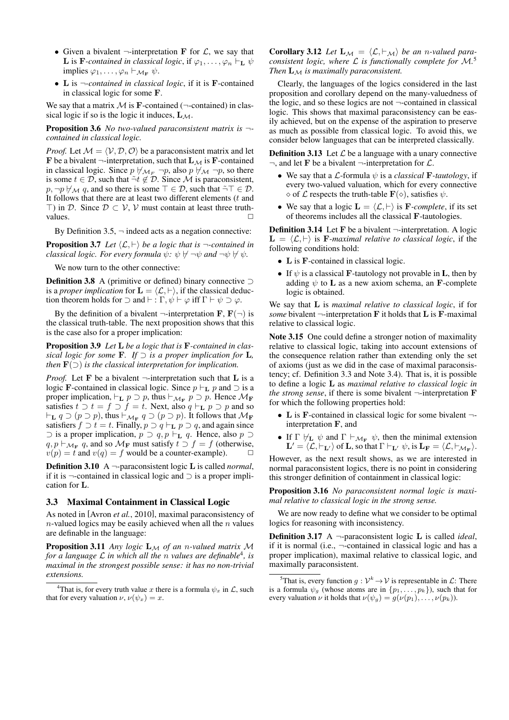- *•* Given a bivalent *¬*-interpretation **F** for *L*, we say that **L** is **F**-contained in classical logic, if  $\varphi_1, \ldots, \varphi_n \vdash_{\mathbf{L}} \psi$  $\text{implies } \varphi_1, \ldots, \varphi_n \vdash_{\mathcal{M}_{\mathbf{F}}} \psi.$
- *•* **L** is *¬-contained in classical logic*, if it is **F**-contained in classical logic for some **F**.

We say that a matrix  $M$  is **F**-contained ( $\neg$ -contained) in classical logic if so is the logic it induces,  $L_M$ .

Proposition 3.6 *No two-valued paraconsistent matrix is ¬ contained in classical logic.*

*Proof.* Let  $M = \langle V, \mathcal{D}, \mathcal{O} \rangle$  be a paraconsistent matrix and let **F** be a bivalent  $\neg$ -interpretation, such that  $\mathbf{L}_{\mathcal{M}}$  is **F**-contained in classical logic. Since  $p \nvDash_{\mathcal{M}_F} \neg p$ , also  $p \nvDash_{\mathcal{M}} \neg p$ , so there is some  $t \in \mathcal{D}$ , such that  $\tilde{\neg} t \notin \mathcal{D}$ . Since  $\mathcal M$  is paraconsistent,  $p, \neg p \nvdash_M q$ , and so there is some  $\top \in \mathcal{D}$ , such that  $\neg \top \in \mathcal{D}$ . It follows that there are at least two different elements (*t* and *⊤*) in *D*. Since *D ⊂ V*, *V* must contain at least three truthvalues. **□** 

By Definition  $3.5$ ,  $\neg$  indeed acts as a negation connective:

**Proposition 3.7** *Let*  $\langle \mathcal{L}, \vdash \rangle$  *be a logic that is*  $\neg$ *-contained in classical logic. For every formula*  $\psi$ *:*  $\psi \nvdash \neg \psi$  *and*  $\neg \psi \nvdash \psi$ *.* 

We now turn to the other connective:

Definition 3.8 A (primitive or defined) binary connective *⊃* is a *proper implication* for  $\mathbf{L} = \langle \mathcal{L}, \vdash \rangle$ , if the classical deduction theorem holds for  $\supset$  and  $\vdash$  :  $\Gamma$ ,  $\psi \vdash \varphi$  iff  $\Gamma \vdash \psi \supset \varphi$ .

By the definition of a bivalent  $\neg$ -interpretation **F**,  $\mathbf{F}(\neg)$  is the classical truth-table. The next proposition shows that this is the case also for a proper implication:

Proposition 3.9 *Let* **L** *be a logic that is* **F***-contained in classical logic for some* **F***. If ⊃ is a proper implication for* **L***, then*  $\mathbf{F}(\supset)$  *is the classical interpretation for implication.* 

*Proof.* Let **F** be a bivalent *¬*-interpretation such that **L** is a logic **F**-contained in classical logic. Since  $p \vdash_L p$  and  $\supset$  is a proper implication,  $\vdash_{\mathbf{L}} p \supset p$ , thus  $\vdash_{\mathcal{M}_{\mathbf{F}}} p \supset p$ . Hence  $\mathcal{M}_{\mathbf{F}}$ satisfies  $t \supset t = f \supset f = t$ . Next, also  $q \vdash_{\mathbf{L}} p \supset p$  and so *⊢***<sup>L</sup>** *q ⊃* (*p ⊃ p*), thus *⊢<sup>M</sup>***<sup>F</sup>** *q ⊃* (*p ⊃ p*). It follows that *M***<sup>F</sup>** satisfiers  $f \supset t = t$ . Finally,  $p \supset q \vdash_L p \supset q$ , and again since *⊃* is a proper implication, *p ⊃ q, p ⊢***<sup>L</sup>** *q*. Hence, also *p ⊃ q, p*  $\vdash_{\mathcal{M}_F} q$ , and so  $\mathcal{M}_F$  must satisfy *t* ⊃ *f* = *f* (otherwise,  $v(p) = t$  and  $v(q) = f$  would be a counter-example).

Definition 3.10 A *¬*-paraconsistent logic **L** is called *normal*, if it is *¬*-contained in classical logic and *⊃* is a proper implication for **L**.

#### 3.3 Maximal Containment in Classical Logic

As noted in [Avron *et al.*, 2010], maximal paraconsistency of *n*-valued logics may be easily achieved when all the *n* values are definable in the language:

Proposition 3.11 *Any logic* **L***<sup>M</sup> of an n-valued matrix M for a language L in which all the n values are definable*<sup>4</sup> *, is maximal in the strongest possible sense: it has no non-trivial extensions.*

Corollary 3.12 *Let*  $\mathbf{L}_M = \langle \mathcal{L}, \vdash_M \rangle$  *be an n*-valued para*consistent logic, where L is functionally complete for M.* 5 *Then* **L***<sup>M</sup> is maximally paraconsistent.*

Clearly, the languages of the logics considered in the last proposition and corollary depend on the many-valuedness of the logic, and so these logics are not *¬*-contained in classical logic. This shows that maximal paraconsistency can be easily achieved, but on the expense of the aspiration to preserve as much as possible from classical logic. To avoid this, we consider below languages that can be interpreted classically.

**Definition 3.13** Let  $\mathcal{L}$  be a language with a unary connective *¬*, and let **F** be a bivalent *¬*-interpretation for *L*.

- *•* We say that a *L*-formula *ψ* is a *classical* **F***-tautology*, if every two-valued valuation, which for every connective  $\diamond$  of *L* respects the truth-table  $\mathbf{F}(\diamond)$ , satisfies  $\psi$ .
- We say that a logic  $\mathbf{L} = \langle \mathcal{L}, \vdash \rangle$  is **F***-complete*, if its set of theorems includes all the classical **F**-tautologies.

Definition 3.14 Let **F** be a bivalent *¬*-interpretation. A logic  $\mathbf{L} = \langle \mathcal{L}, \vdash \rangle$  is **F**-maximal relative to classical logic, if the following conditions hold:

- *•* **L** is **F**-contained in classical logic.
- If  $\psi$  is a classical **F**-tautology not provable in **L**, then by adding  $\psi$  to **L** as a new axiom schema, an **F**-complete logic is obtained.

We say that **L** is *maximal relative to classical logic*, if for *some* bivalent  $\neg$ -interpretation **F** it holds that **L** is **F**-maximal relative to classical logic.

Note 3.15 One could define a stronger notion of maximality relative to classical logic, taking into account extensions of the consequence relation rather than extending only the set of axioms (just as we did in the case of maximal paraconsistency; cf. Definition 3.3 and Note 3.4). That is, it is possible to define a logic **L** as *maximal relative to classical logic in the strong sense*, if there is some bivalent  $\neg$ -interpretation **F** for which the following properties hold:

- *•* **L** is **F**-contained in classical logic for some bivalent *¬* interpretation **F**, and
- If  $\Gamma \not\vdash_L \psi$  and  $\Gamma \vdash_{\mathcal{M}_F} \psi$ , then the minimal extension  $\mathbf{L}' = \langle \mathcal{L}, \vdash_{\mathbf{L}'} \rangle$  of  $\mathbf{L}$ , so that  $\Gamma \vdash_{\mathbf{L}'} \psi$ , is  $\mathbf{L}_{\mathbf{F}} = \langle \mathcal{L}, \vdash_{\mathcal{M}_{\mathbf{F}}} \rangle$ .

However, as the next result shows, as we are interested in normal paraconsistent logics, there is no point in considering this stronger definition of containment in classical logic:

Proposition 3.16 *No paraconsistent normal logic is maximal relative to classical logic in the strong sense.*

We are now ready to define what we consider to be optimal logics for reasoning with inconsistency.

Definition 3.17 A *¬*-paraconsistent logic **L** is called *ideal*, if it is normal (i.e., *¬*-contained in classical logic and has a proper implication), maximal relative to classical logic, and maximally paraconsistent.

<sup>&</sup>lt;sup>4</sup>That is, for every truth value *x* there is a formula  $\psi_x$  in *L*, such that for every valuation  $\nu$ ,  $\nu(\psi_x) = x$ .

<sup>&</sup>lt;sup>5</sup>That is, every function  $g: \mathcal{V}^k \to \mathcal{V}$  is representable in  $\mathcal{L}$ : There is a formula  $\psi_g$  (whose atoms are in  $\{p_1, \ldots, p_k\}$ ), such that for every valuation  $\nu$  it holds that  $\nu(\psi_g) = g(\nu(p_1), \dots, \nu(p_k)).$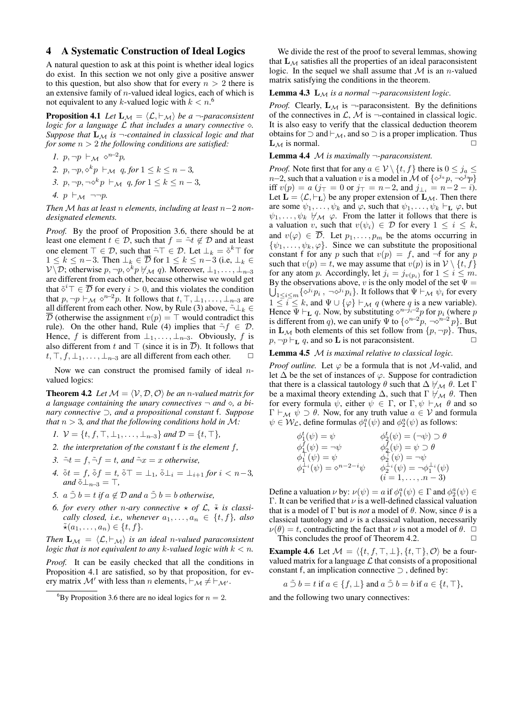# 4 A Systematic Construction of Ideal Logics

A natural question to ask at this point is whether ideal logics do exist. In this section we not only give a positive answer to this question, but also show that for every  $n > 2$  there is an extensive family of *n*-valued ideal logics, each of which is not equivalent to any *k*-valued logic with  $k < n$ .<sup>6</sup>

**Proposition 4.1** *Let*  $\mathbf{L}_{\mathcal{M}} = \langle \mathcal{L}, \vdash_{\mathcal{M}} \rangle$  *be a*  $\neg$ *-paraconsistent logic for a language L that includes a unary connective ⋄. Suppose that*  $\mathbf{L}_M$  *is*  $\neg$ -contained in classical logic and that *for some n >* 2 *the following conditions are satisfied:*

\n- 1. 
$$
p, \neg p \vdash_{\mathcal{M}} \Diamond^{n-2}p
$$
,
\n- 2.  $p, \neg p, \Diamond^k p \vdash_{\mathcal{M}} q$ , for  $1 \leq k \leq n-3$ ,
\n- 3.  $p, \neg p, \neg \Diamond^k p \vdash_{\mathcal{M}} q$ , for  $1 \leq k \leq n-3$ ,
\n- 4.  $p \vdash_{\mathcal{M}} \neg \neg p$ .
\n

*Then M has at least n elements, including at least n−*2 *nondesignated elements.*

*Proof.* By the proof of Proposition 3.6, there should be at least one element  $t \in \mathcal{D}$ , such that  $f = \tilde{\neg} t \notin \mathcal{D}$  and at least one element  $\top \in \mathcal{D}$ , such that  $\tilde{\neg} \top \in \mathcal{D}$ . Let  $\bot_k = \tilde{\diamond}^k \top$  for  $1 \leq k \leq n-3$ . Then  $\bot_k \in \overline{\mathcal{D}}$  for  $1 \leq k \leq n-3$  (i.e,  $\bot_k \in \mathcal{D}$ *V*  $\setminus$  *D*; otherwise *p*,  $\neg p$ ,  $\diamond$ <sup>*k*</sup>*p*  $\nvdash$  *M q*). Moreover, ⊥<sub>1</sub>, . . . , ⊥<sub>*n*−3</sub> are different from each other, because otherwise we would get that  $\tilde{\diamond}^i$ <sup>*⊤*</sup>  $\in \overline{\mathcal{D}}$  for every *i* > 0, and this violates the condition that  $p, \neg p \vdash_M \Diamond^{n-2}p$ . It follows that  $t, \top, \bot_1, \ldots, \bot_{n-3}$  are all different from each other. Now, by Rule (3) above,  $\tilde{\neg} \bot_k \in$  $\overline{\mathcal{D}}$  (otherwise the assignment  $v(p) = \top$  would contradict this rule). On the other hand, Rule (4) implies that  $\tilde{\neg} f \in \mathcal{D}$ . Hence, *f* is different from  $\perp_1, \ldots, \perp_{n-3}$ . Obviously, *f* is also different from *t* and  $\top$  (since it is in  $\overline{\mathcal{D}}$ ). It follows that  $t, \top, f, \bot_1, \ldots, \bot_{n-3}$  are all different from each other.  $\Box$ 

Now we can construct the promised family of ideal *n*valued logics:

**Theorem 4.2** *Let*  $M = \langle V, D, O \rangle$  *be an n-valued matrix for a language containing the unary connectives ¬ and ⋄, a binary connective ⊃, and a propositional constant* f*. Suppose that n >* 3*, and that the following conditions hold in M:*

- *1.*  $V = \{t, f, \top, \bot_1, \ldots, \bot_{n-3}\}$  *and*  $D = \{t, \top\}$ *,*
- *2. the interpretation of the constant* f *is the element f,*
- *3.*  $\tilde{\neg}t = f$ ,  $\tilde{\neg}f = t$ , and  $\tilde{\neg}x = x$  *otherwise*,
- *4.*  $\delta t = f$ ,  $\delta f = t$ ,  $\delta \top = \bot_1$ ,  $\delta \bot_i = \bot_{i+1}$  for  $i < n-3$ ,  $and \tilde{\diamond} \perp_{n-3} = \top$ ,
- *5.*  $a \tilde{\supset} b = t$  *if*  $a \notin \mathcal{D}$  *and*  $a \tilde{\supset} b = b$  *otherwise*,
- *6. for every other n-ary connective*  $\star$  *of*  $\mathcal{L}$ *,*  $\tilde{\star}$  *is classically closed, i.e., whenever*  $a_1, \ldots, a_n \in \{t, f\}$ *, also*  $\tilde{\star}(a_1,\ldots,a_n) \in \{t,f\}.$

*Then*  $\mathbf{L}_M = \langle \mathcal{L}, \vdash_M \rangle$  *is an ideal n*-valued paraconsistent *logic that is not equivalent to any k-valued logic with*  $k < n$ *.* 

*Proof.* It can be easily checked that all the conditions in Proposition 4.1 are satisfied, so by that proposition, for every matrix  $\mathcal{M}'$  with less than *n* elements,  $\vdash_{\mathcal{M}} \neq \vdash_{\mathcal{M}'}$ .

We divide the rest of the proof to several lemmas, showing that  $L_M$  satisfies all the properties of an ideal paraconsistent logic. In the sequel we shall assume that *M* is an *n*-valued matrix satisfying the conditions in the theorem.

#### **Lemma 4.3**  $\mathbf{L}_M$  *is a normal*  $\neg$ *-paraconsistent logic.*

*Proof.* Clearly,  $\mathbf{L}_{\mathcal{M}}$  is  $\neg$ -paraconsistent. By the definitions of the connectives in  $\mathcal{L}, \mathcal{M}$  is  $\neg$ -contained in classical logic. It is also easy to verify that the classical deduction theorem obtains for *⊃* and *⊢M*, and so *⊃* is a proper implication. Thus  $L_{\mathcal{M}}$  is normal.

#### Lemma 4.4 *M is maximally ¬-paraconsistent.*

*Proof.* Note first that for any  $a \in V \setminus \{t, f\}$  there is  $0 \le j_a \le k$ *n*−2, such that a valuation *v* is a model in *M* of  $\{\diamond^{j_a} p, \neg \diamond^{j_a} p\}$ iff *v*(*p*) = *a* (*j* $\tau$  = 0 or *j* $\tau$  = *n*−2, and *j*<sub>⊥*i*</sub> = *n*−2 − *i*). Let  $\mathbf{L} = \langle \mathcal{L}, \vdash_{\mathbf{L}} \rangle$  be any proper extension of  $\mathbf{L}_{\mathcal{M}}$ . Then there are some  $\psi_1, \ldots, \psi_k$  and  $\varphi$ , such that  $\psi_1, \ldots, \psi_k \vdash_{\mathbf{L}} \varphi$ , but  $\psi_1, \ldots, \psi_k \not\vdash_{\mathcal{M}} \varphi$ . From the latter it follows that there is a valuation *v*, such that  $v(\psi_i) \in \mathcal{D}$  for every  $1 \leq i \leq k$ , and  $v(\varphi) \in \mathcal{D}$ . Let  $p_1, \ldots, p_m$  be the atoms occurring in  $\{\psi_1, \ldots, \psi_k, \varphi\}$ . Since we can substitute the propositional constant f for any *p* such that  $v(p) = f$ , and  $\neg$ f for any *p* such that  $v(p) = t$ , we may assume that  $v(p)$  is in  $V \setminus \{t, f\}$ for any atom *p*. Accordingly, let  $j_i = j_{v(p_i)}$  for  $1 \leq i \leq m$ . By the observations above, v is the only model of the set  $\Psi =$  $\bigcup_{1 \leq i \leq m} {\{\diamond^{j_i} p_i, \neg \diamond^{j_i} p_i\}}$ . It follows that  $\Psi \vdash_{\mathcal{M}} \psi_i$  for every 1 ≤ *i* ≤ *k*, and  $\Psi$  ∪ { $\varphi$ }  $\vdash_{\mathcal{M}} q$  (where *q* is a new variable). Hence  $\Psi \vdash_{\mathbf{L}} q$ . Now, by substituting  $\diamond^{n-j_i-2} p$  for  $p_i$  (where  $p$ is different from *q*), we can unify  $\Psi$  to  $\{\diamond^{n-2}p, \neg \diamond^{n-2}p\}$ . But in **L**<sub>*M*</sub> both elements of this set follow from  $\{p, \neg p\}$ . Thus,<br> $p, \neg p \vdash r, a$  and so **L** is not paraconsistent.  $p, \neg p \vdash_L q$ , and so **L** is not paraconsistent.

### Lemma 4.5 *M is maximal relative to classical logic.*

*Proof outline.* Let  $\varphi$  be a formula that is not *M*-valid, and let  $\Delta$  be the set of instances of  $\varphi$ . Suppose for contradiction that there is a classical tautology  $\theta$  such that  $\Delta \nvDash_{\mathcal{M}} \theta$ . Let  $\Gamma$ be a maximal theory extending  $\Delta$ , such that Γ  $\nvdash_{\mathcal{M}} \theta$ . Then for every formula  $\psi$ , either  $\psi \in \Gamma$ , or  $\Gamma$ ,  $\psi \vdash_{\mathcal{M}} \theta$  and so  $\Gamma \vdash_{\mathcal{M}} \psi \supset \theta$ . Now, for any truth value  $a \in \mathcal{V}$  and formula  $\psi \in \mathcal{W}_{\mathcal{L}}$ , define formulas  $\phi_1^a(\psi)$  and  $\phi_2^a(\psi)$  as follows:

$$
\begin{array}{ll}\n\phi_1^t(\psi) = \psi & \phi_2^t(\psi) = (\neg \psi) \supset \theta \\
\phi_1^f(\psi) = \neg \psi & \phi_2^f(\psi) = \psi \supset \theta \\
\phi_1^{\top}(\psi) = \psi & \phi_2^{\top}(\psi) = \neg \psi \\
\phi_1^{\perp_i}(\psi) = \diamond^{n-2-i}\psi & \phi_2^{\perp_i}(\psi) = \neg \phi_1^{\perp_i}(\psi) \\
(i = 1, \dots, n-3)\n\end{array}
$$

Define a valuation  $\nu$  by:  $\nu(\psi) = a$  if  $\phi_1^a(\psi) \in \Gamma$  and  $\phi_2^a(\psi) \in$ Γ. It can be verified that *ν* is a well-defined classical valuation that is a model of Γ but is *not* a model of  $\theta$ . Now, since  $\theta$  is a classical tautology and  $\nu$  is a classical valuation, necessarily *ν*( $\theta$ ) = *t*, contradicting the fact that *ν* is not a model of  $\theta$ .  $\Box$ <br>This concludes the proof of Theorem 4.2 This concludes the proof of Theorem 4.2.

**Example 4.6** Let  $M = \langle \{t, f, \top, \bot\}, \{t, \top\}, \mathcal{O} \rangle$  be a fourvalued matrix for a language  $\mathcal L$  that consists of a propositional constant f, an implication connective *⊃* , defined by:

$$
a \tilde{\supset} b = t
$$
 if  $a \in \{f, \perp\}$  and  $a \tilde{\supset} b = b$  if  $a \in \{t, \top\}$ ,

and the following two unary connectives:

<sup>&</sup>lt;sup>6</sup>By Proposition 3.6 there are no ideal logics for  $n = 2$ .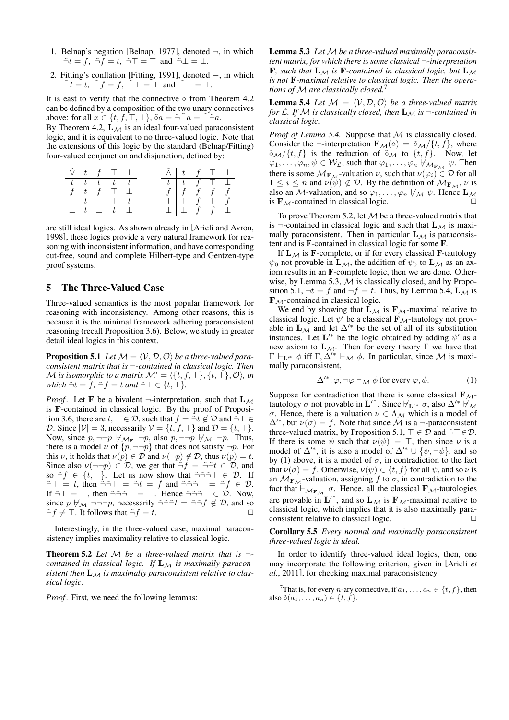- 1. Belnap's negation [Belnap, 1977], denoted *¬*, in which  $\tilde{\neg}t = f$ ,  $\tilde{\neg}f = t$ ,  $\tilde{\neg}T = \top$  and  $\tilde{\neg} \bot = \bot$ .
- 2. Fitting's conflation [Fitting, 1991], denoted *−*, in which *−*˜ *t* = *t*, *−*˜ *f* = *f*, *−⊤*˜ = *⊥* and *−⊥*˜ = *⊤*.

It is east to verify that the connective *⋄* from Theorem 4.2 can be defined by a composition of the two unary connectives above: for all  $x \in \{t, f, \top, \bot\}$ ,  $\delta a = \tilde{\neg} - a = \tilde{\neg} - a$ .

By Theorem 4.2, **L***<sup>M</sup>* is an ideal four-valued paraconsistent logic, and it is equivalent to no three-valued logic. Note that the extensions of this logic by the standard (Belnap/Fitting) four-valued conjunction and disjunction, defined by:

| $\tilde{\vee}$   t f $\top \perp$ |  |                                                                  |  | $\tilde{\wedge}$   $t$ $f$ $\top$ $\bot$                                                    |  |  |
|-----------------------------------|--|------------------------------------------------------------------|--|---------------------------------------------------------------------------------------------|--|--|
|                                   |  | $t$ $t$ $t$ $t$ $t$                                              |  | $t$ $t$ $f$ $\top$ $\bot$                                                                   |  |  |
|                                   |  | $f   t f \top \bot$                                              |  | $\begin{array}{c}\n f \uparrow f & f \uparrow f \\  \top \uparrow f & \top f\n \end{array}$ |  |  |
|                                   |  | $\mathsf{T}$ $\mathsf{t}$ $\mathsf{T}$ $\mathsf{T}$ $\mathsf{t}$ |  |                                                                                             |  |  |
|                                   |  | $\perp$ $\perp$ $t$ $\perp$                                      |  | $\perp$ $\perp$ f f $\perp$                                                                 |  |  |

are still ideal logics. As shown already in [Arieli and Avron, 1998], these logics provide a very natural framework for reasoning with inconsistent information, and have corresponding cut-free, sound and complete Hilbert-type and Gentzen-type proof systems.

## 5 The Three-Valued Case

Three-valued semantics is the most popular framework for reasoning with inconsistency. Among other reasons, this is because it is the minimal framework adhering paraconsistent reasoning (recall Proposition 3.6). Below, we study in greater detail ideal logics in this context.

**Proposition 5.1** *Let*  $M = \langle V, \mathcal{D}, \mathcal{O} \rangle$  *be a three-valued paraconsistent matrix that is ¬-contained in classical logic. Then M is isomorphic to a matrix*  $\mathcal{M}' = \langle \{t, f, \top\}, \{t, \top\}, \mathcal{O} \rangle$ *, in which*  $\tilde{\neg}t = f$ *,*  $\tilde{\neg}f = t$  *and*  $\tilde{\neg}T \in \{t, \top\}$ *.* 

*Proof.* Let **F** be a bivalent  $\neg$ -interpretation, such that  $\mathbf{L}_M$ is **F**-contained in classical logic. By the proof of Proposition 3.6, there are  $t, \top \in \mathcal{D}$ , such that  $f = \tilde{\neg} t \notin \mathcal{D}$  and  $\tilde{\neg} \top \in$ *D*. Since  $|V| = 3$ , necessarily  $V = \{t, f, \top\}$  and  $D = \{t, \top\}$ . Now, since  $p, \neg\neg p \not\vdash_{\mathcal{M}_F} \neg p$ , also  $p, \neg\neg p \not\vdash_{\mathcal{M}} \neg p$ . Thus, there is a model  $\nu$  of  $\{p, \neg\neg p\}$  that does not satisfy  $\neg p$ . For this *ν*, it holds that  $\nu(p) \in \mathcal{D}$  and  $\nu(\neg p) \notin \mathcal{D}$ , thus  $\nu(p) = t$ . Since also  $\nu(\neg\neg p) \in \mathcal{D}$ , we get that  $\neg f = \neg \neg t \in \mathcal{D}$ , and so  $\tilde{\neg} f \in \{t, \top\}$ . Let us now show that  $\tilde{\neg} \tilde{\neg} \tilde{\neg} T \in \mathcal{D}$ . If *¬⊤*˜ = *t*, then *¬*˜*¬⊤*˜ = ˜*¬t* = *f* and *¬*˜*¬*˜*¬⊤*˜ = ˜*¬f ∈ D*. If *¬⊤*˜ = *⊤*, then *¬*˜*¬*˜*¬⊤*˜ = *⊤*. Hence *¬*˜*¬*˜*¬⊤ ∈ D* ˜ . Now, since *p*  $\forall \mathcal{M}$   $\neg \neg \neg p$ , necessarily  $\tilde{\neg} \tilde{\neg} \tilde{\neg} t = \tilde{\neg} \tilde{\neg} f \notin \mathcal{D}$ , and so  $\tilde{\neg} f \neq \top$  If follows that  $\tilde{\neg} f = t$  $\tilde{\neg} f \neq \top$ . It follows that  $\tilde{\neg} f = t$ .

Interestingly, in the three-valued case, maximal paraconsistency implies maximality relative to classical logic.

Theorem 5.2 *Let M be a three-valued matrix that is ¬ contained in classical logic. If* **L***<sup>M</sup> is maximally paraconsistent then* **L***<sup>M</sup> is maximally paraconsistent relative to classical logic.*

*Proof.* First, we need the following lemmas:

Lemma 5.3 *Let M be a three-valued maximally paraconsistent matrix, for which there is some classical ¬-interpretation* **F***, such that*  $L_M$  *is* **F***-contained in classical logic, but*  $L_M$ *is not* **F***-maximal relative to classical logic. Then the operations of M are classically closed.*<sup>7</sup>

**Lemma 5.4** *Let*  $M = \langle V, \mathcal{D}, \mathcal{O} \rangle$  *be a three-valued matrix for*  $\mathcal{L}$ *. If*  $\mathcal{M}$  *is classically closed, then*  $\mathbf{L}_{\mathcal{M}}$  *is*  $\neg$ *-contained in classical logic.*

*Proof of Lemma 5.4.* Suppose that *M* is classically closed. Consider the  $\neg$ -interpretation  $\mathbf{F}_{\mathcal{M}}(\diamond) = \tilde{\diamond}_{\mathcal{M}}/\{t, f\}$ , where  $\delta_M/\{t, f\}$  is the reduction of  $\delta_M$  to  $\{t, f\}$ . Now, let  $\varphi_1, \ldots, \varphi_n, \psi \in \mathcal{W}_\mathcal{L}$ , such that  $\varphi_1, \ldots, \varphi_n \not\vdash_{\mathcal{M}_{F_\mathcal{M}}} \psi$ . Then there is some  $\mathcal{M}_{\mathbf{F}_M}$ -valuation *ν*, such that  $\nu(\varphi_i) \in \mathcal{D}$  for all  $1 \leq i \leq n$  and  $\nu(\psi) \notin \mathcal{D}$ . By the definition of  $\mathcal{M}_{\mathbf{F}_M}, \nu$  is also an *M*-valuation, and so  $\varphi_1, \ldots, \varphi_n \not\vdash_M \psi$ . Hence  $\mathbf{L}_M$ is  $\mathbf{F}_{\mathcal{M}}$ -contained in classical logic.

To prove Theorem 5.2, let *M* be a three-valued matrix that is  $\neg$ -contained in classical logic and such that  $\mathbf{L}_{\mathcal{M}}$  is maximally paraconsistent. Then in particular  $\mathbf{L}_{\mathcal{M}}$  is paraconsistent and is F-contained in classical logic for some F.

If  $\mathbf{L}_{\mathcal{M}}$  is **F**-complete, or if for every classical **F**-tautology  $\psi_0$  not provable in  $\mathbf{L}_{\mathcal{M}}$ , the addition of  $\psi_0$  to  $\mathbf{L}_{\mathcal{M}}$  as an axiom results in an F-complete logic, then we are done. Otherwise, by Lemma 5.3, *M* is classically closed, and by Proposition 5.1,  $\tilde{\neg}t = f$  and  $\tilde{\neg}f = t$ . Thus, by Lemma 5.4,  $\mathbf{L}_{\mathcal{M}}$  is **F***M*-contained in classical logic.

We end by showing that  $\mathbf{L}_{\mathcal{M}}$  is  $\mathbf{F}_{\mathcal{M}}$ -maximal relative to classical logic. Let  $\psi'$  be a classical  $\mathbf{F}_{\mathcal{M}}$ -tautology not provable in  $\mathbf{L}_{\mathcal{M}}$  and let  $\Delta'$ <sup>\*</sup> be the set of all of its substitution instances. Let  $\mathbf{L}'^*$  be the logic obtained by adding  $\psi'$  as a new axiom to **L***M*. Then for every theory Γ we have that  $\Gamma \vdash_{\mathbf{L}^{\prime*}} \phi$  iff  $\Gamma, \Delta^{\prime*} \vdash_{\mathcal{M}} \phi$ . In particular, since  $\mathcal M$  is maximally paraconsistent,

$$
\Delta^{\prime *}, \varphi, \neg \varphi \vdash_{\mathcal{M}} \phi \text{ for every } \varphi, \phi. \tag{1}
$$

Suppose for contradiction that there is some classical **F***M*tautology  $\sigma$  not provable in  $\mathbf{L}'^*$ . Since  $\nvdash_{\mathbf{L}'}\sigma$ , also  $\Delta'^* \not\models \mathcal{M}$ *σ*. Hence, there is a valuation  $\nu \in \Lambda_{\mathcal{M}}$  which is a model of  $\Delta'$ <sup>\*</sup>, but  $\nu(\sigma) = f$ . Note that since M is a  $\nu$ -paraconsistent three-valued matrix, by Proposition 5.1,  $\top \in \mathcal{D}$  and  $\tilde{\neg} \top \in \mathcal{D}$ . If there is some  $\psi$  such that  $\nu(\psi) = \top$ , then since  $\nu$  is a model of  $\Delta'$ <sup>\*</sup>, it is also a model of  $\Delta'$ <sup>\*</sup>  $\cup$   $\{\psi, \neg \psi\}$ , and so by (1) above, it is a model of  $\sigma$ , in contradiction to the fact that  $\nu(\sigma) = f$ . Otherwise,  $\nu(\psi) \in \{t, f\}$  for all  $\psi$ , and so  $\nu$  is an  $M_{\mathbf{F}_M}$ -valuation, assigning *f* to  $\sigma$ , in contradiction to the fact that  $\vdash_{\mathcal{M}_{F_{\mathcal{M}}}} \sigma$ . Hence, all the classical  $\mathbf{F}_{\mathcal{M}}$ -tautologies are provable in  $\mathbf{L}'^*$ , and so  $\mathbf{L}_{\mathcal{M}}$  is  $\mathbf{F}_{\mathcal{M}}$ -maximal relative to classical logic, which implies that it is also maximally paraconsistent relative to classical logic.  $\Box$ 

Corollary 5.5 *Every normal and maximally paraconsistent three-valued logic is ideal.*

In order to identify three-valued ideal logics, then, one may incorporate the following criterion, given in [Arieli *et al.*, 2011], for checking maximal paraconsistency.

<sup>&</sup>lt;sup>7</sup>That is, for every *n*-ary connective, if  $a_1, \ldots, a_n \in \{t, f\}$ , then also  $\tilde{\diamond}(a_1, \ldots, a_n) \in \{t, f\}.$